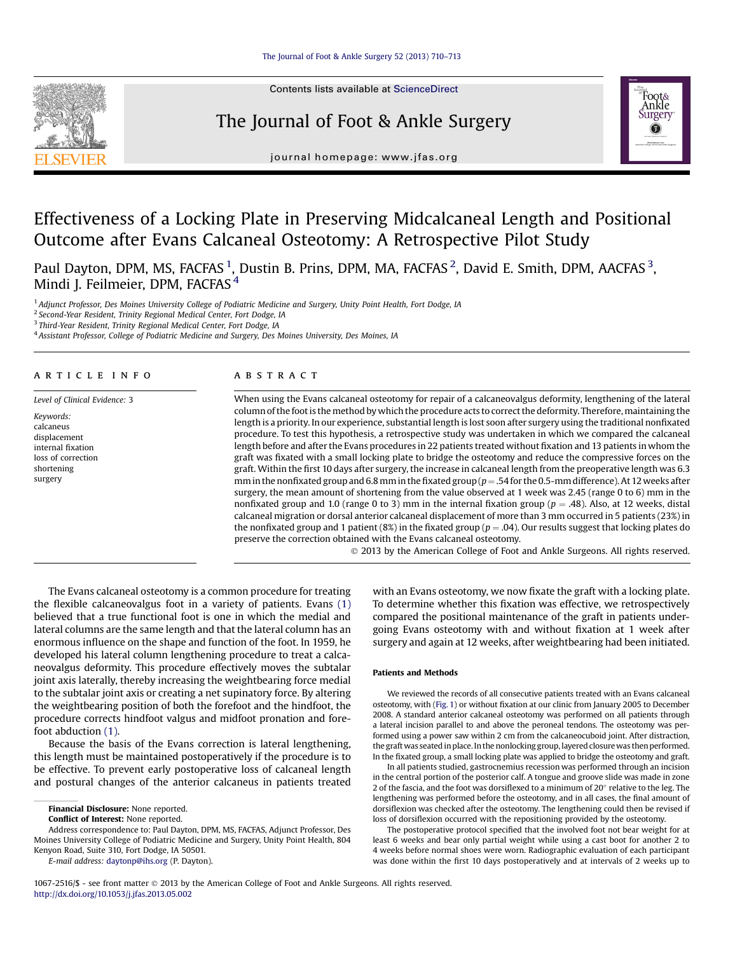

Contents lists available at ScienceDirect

## The Journal of Foot & Ankle Surgery



journal homepage: [www.jfas.org](http://www.jfas.org)

# Effectiveness of a Locking Plate in Preserving Midcalcaneal Length and Positional Outcome after Evans Calcaneal Osteotomy: A Retrospective Pilot Study

Paul Dayton, DPM, MS, FACFAS<sup>1</sup>, Dustin B. Prins, DPM, MA, FACFAS<sup>2</sup>, David E. Smith, DPM, AACFAS<sup>3</sup>, Mindi J. Feilmeier, DPM, FACFAS<sup>4</sup>

<sup>1</sup> Adjunct Professor, Des Moines University College of Podiatric Medicine and Surgery, Unity Point Health, Fort Dodge, IA

<sup>2</sup> Second-Year Resident, Trinity Regional Medical Center, Fort Dodge, IA

<sup>3</sup> Third-Year Resident, Trinity Regional Medical Center, Fort Dodge, IA

<sup>4</sup> Assistant Professor, College of Podiatric Medicine and Surgery, Des Moines University, Des Moines, IA

## article info

Level of Clinical Evidence: 3 Keywords:

calcaneus displacement internal fixation loss of correction shortening surgery

## **ABSTRACT**

When using the Evans calcaneal osteotomy for repair of a calcaneovalgus deformity, lengthening of the lateral column of the foot is the method by which the procedure acts to correct the deformity. Therefore, maintaining the length is a priority. In our experience, substantial length is lost soon after surgery using the traditional nonfixated procedure. To test this hypothesis, a retrospective study was undertaken in which we compared the calcaneal length before and after the Evans procedures in 22 patients treated without fixation and 13 patients in whom the graft was fixated with a small locking plate to bridge the osteotomy and reduce the compressive forces on the graft. Within the first 10 days after surgery, the increase in calcaneal length from the preoperative length was 6.3 mm in the nonfixated group and 6.8 mm in the fixated group ( $p = .54$  for the 0.5-mm difference). At 12 weeks after surgery, the mean amount of shortening from the value observed at 1 week was 2.45 (range 0 to 6) mm in the nonfixated group and 1.0 (range 0 to 3) mm in the internal fixation group ( $p = .48$ ). Also, at 12 weeks, distal calcaneal migration or dorsal anterior calcaneal displacement of more than 3 mm occurred in 5 patients (23%) in the nonfixated group and 1 patient (8%) in the fixated group ( $p = .04$ ). Our results suggest that locking plates do preserve the correction obtained with the Evans calcaneal osteotomy.

2013 by the American College of Foot and Ankle Surgeons. All rights reserved.

The Evans calcaneal osteotomy is a common procedure for treating the flexible calcaneovalgus foot in a variety of patients. Evans [\(1\)](#page-3-0) believed that a true functional foot is one in which the medial and lateral columns are the same length and that the lateral column has an enormous influence on the shape and function of the foot. In 1959, he developed his lateral column lengthening procedure to treat a calcaneovalgus deformity. This procedure effectively moves the subtalar joint axis laterally, thereby increasing the weightbearing force medial to the subtalar joint axis or creating a net supinatory force. By altering the weightbearing position of both the forefoot and the hindfoot, the procedure corrects hindfoot valgus and midfoot pronation and forefoot abduction [\(1\)](#page-3-0).

Because the basis of the Evans correction is lateral lengthening, this length must be maintained postoperatively if the procedure is to be effective. To prevent early postoperative loss of calcaneal length and postural changes of the anterior calcaneus in patients treated

Financial Disclosure: None reported.

Conflict of Interest: None reported.

Address correspondence to: Paul Dayton, DPM, MS, FACFAS, Adjunct Professor, Des Moines University College of Podiatric Medicine and Surgery, Unity Point Health, 804 Kenyon Road, Suite 310, Fort Dodge, IA 50501.

E-mail address: [daytonp@ihs.org](mailto:daytonp@ihs.org) (P. Dayton).

with an Evans osteotomy, we now fixate the graft with a locking plate. To determine whether this fixation was effective, we retrospectively compared the positional maintenance of the graft in patients undergoing Evans osteotomy with and without fixation at 1 week after surgery and again at 12 weeks, after weightbearing had been initiated.

#### Patients and Methods

We reviewed the records of all consecutive patients treated with an Evans calcaneal osteotomy, with ([Fig. 1\)](#page-1-0) or without fixation at our clinic from January 2005 to December 2008. A standard anterior calcaneal osteotomy was performed on all patients through a lateral incision parallel to and above the peroneal tendons. The osteotomy was performed using a power saw within 2 cm from the calcaneocuboid joint. After distraction, the graft was seated in place. In the nonlocking group, layered closure was then performed. In the fixated group, a small locking plate was applied to bridge the osteotomy and graft.

In all patients studied, gastrocnemius recession was performed through an incision in the central portion of the posterior calf. A tongue and groove slide was made in zone 2 of the fascia, and the foot was dorsiflexed to a minimum of  $20^\circ$  relative to the leg. The lengthening was performed before the osteotomy, and in all cases, the final amount of dorsiflexion was checked after the osteotomy. The lengthening could then be revised if loss of dorsiflexion occurred with the repositioning provided by the osteotomy.

The postoperative protocol specified that the involved foot not bear weight for at least 6 weeks and bear only partial weight while using a cast boot for another 2 to 4 weeks before normal shoes were worn. Radiographic evaluation of each participant was done within the first 10 days postoperatively and at intervals of 2 weeks up to

1067-2516/\$ - see front matter  $\circ$  2013 by the American College of Foot and Ankle Surgeons. All rights reserved. <http://dx.doi.org/10.1053/j.jfas.2013.05.002>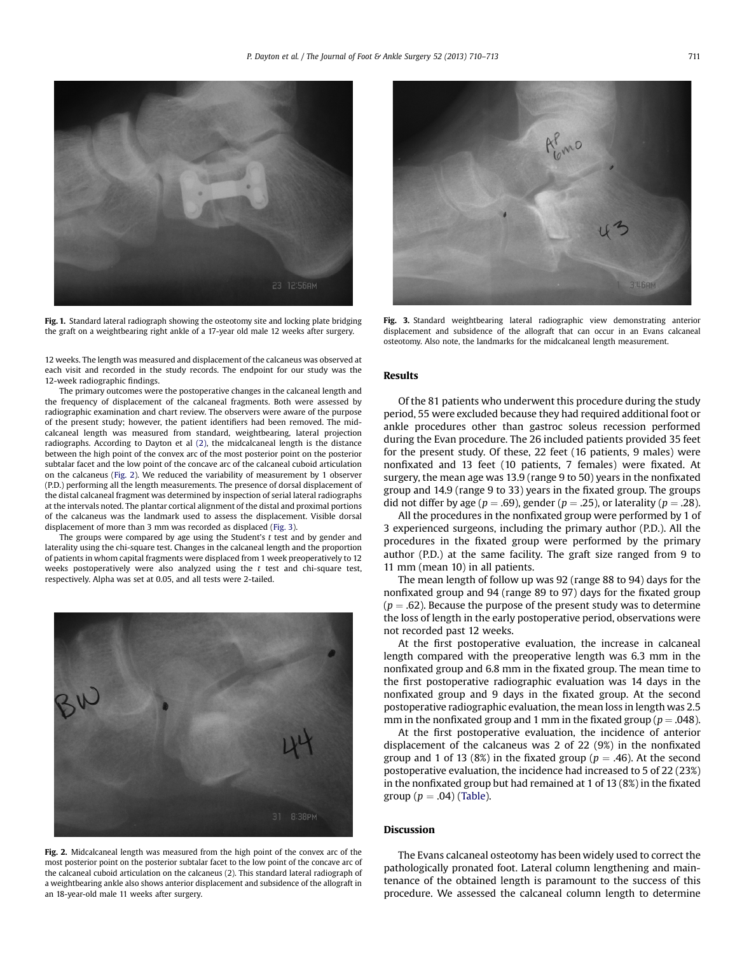<span id="page-1-0"></span>



12 weeks. The length was measured and displacement of the calcaneus was observed at each visit and recorded in the study records. The endpoint for our study was the 12-week radiographic findings.

The primary outcomes were the postoperative changes in the calcaneal length and the frequency of displacement of the calcaneal fragments. Both were assessed by radiographic examination and chart review. The observers were aware of the purpose of the present study; however, the patient identifiers had been removed. The midcalcaneal length was measured from standard, weightbearing, lateral projection radiographs. According to Dayton et al [\(2\),](#page-3-0) the midcalcaneal length is the distance between the high point of the convex arc of the most posterior point on the posterior subtalar facet and the low point of the concave arc of the calcaneal cuboid articulation on the calcaneus (Fig. 2). We reduced the variability of measurement by 1 observer (P.D.) performing all the length measurements. The presence of dorsal displacement of the distal calcaneal fragment was determined by inspection of serial lateral radiographs at the intervals noted. The plantar cortical alignment of the distal and proximal portions of the calcaneus was the landmark used to assess the displacement. Visible dorsal displacement of more than 3 mm was recorded as displaced (Fig. 3).

The groups were compared by age using the Student's  $t$  test and by gender and laterality using the chi-square test. Changes in the calcaneal length and the proportion of patients in whom capital fragments were displaced from 1 week preoperatively to 12 weeks postoperatively were also analyzed using the  $t$  test and chi-square test, respectively. Alpha was set at 0.05, and all tests were 2-tailed.



Fig. 2. Midcalcaneal length was measured from the high point of the convex arc of the most posterior point on the posterior subtalar facet to the low point of the concave arc of the calcaneal cuboid articulation on the calcaneus (2). This standard lateral radiograph of a weightbearing ankle also shows anterior displacement and subsidence of the allograft in an 18-year-old male 11 weeks after surgery.



Fig. 3. Standard weightbearing lateral radiographic view demonstrating anterior displacement and subsidence of the allograft that can occur in an Evans calcaneal osteotomy. Also note, the landmarks for the midcalcaneal length measurement.

## Results

Of the 81 patients who underwent this procedure during the study period, 55 were excluded because they had required additional foot or ankle procedures other than gastroc soleus recession performed during the Evan procedure. The 26 included patients provided 35 feet for the present study. Of these, 22 feet (16 patients, 9 males) were nonfixated and 13 feet (10 patients, 7 females) were fixated. At surgery, the mean age was 13.9 (range 9 to 50) years in the nonfixated group and 14.9 (range 9 to 33) years in the fixated group. The groups did not differ by age ( $p = .69$ ), gender ( $p = .25$ ), or laterality ( $p = .28$ ).

All the procedures in the nonfixated group were performed by 1 of 3 experienced surgeons, including the primary author (P.D.). All the procedures in the fixated group were performed by the primary author (P.D.) at the same facility. The graft size ranged from 9 to 11 mm (mean 10) in all patients.

The mean length of follow up was 92 (range 88 to 94) days for the nonfixated group and 94 (range 89 to 97) days for the fixated group  $(p = .62)$ . Because the purpose of the present study was to determine the loss of length in the early postoperative period, observations were not recorded past 12 weeks.

At the first postoperative evaluation, the increase in calcaneal length compared with the preoperative length was 6.3 mm in the nonfixated group and 6.8 mm in the fixated group. The mean time to the first postoperative radiographic evaluation was 14 days in the nonfixated group and 9 days in the fixated group. At the second postoperative radiographic evaluation, the mean loss in length was 2.5 mm in the nonfixated group and 1 mm in the fixated group ( $p = .048$ ).

At the first postoperative evaluation, the incidence of anterior displacement of the calcaneus was 2 of 22 (9%) in the nonfixated group and 1 of 13 (8%) in the fixated group ( $p = .46$ ). At the second postoperative evaluation, the incidence had increased to 5 of 22 (23%) in the nonfixated group but had remained at 1 of 13 (8%) in the fixated group ( $p = .04$ ) ([Table](#page-2-0)).

### Discussion

The Evans calcaneal osteotomy has been widely used to correct the pathologically pronated foot. Lateral column lengthening and maintenance of the obtained length is paramount to the success of this procedure. We assessed the calcaneal column length to determine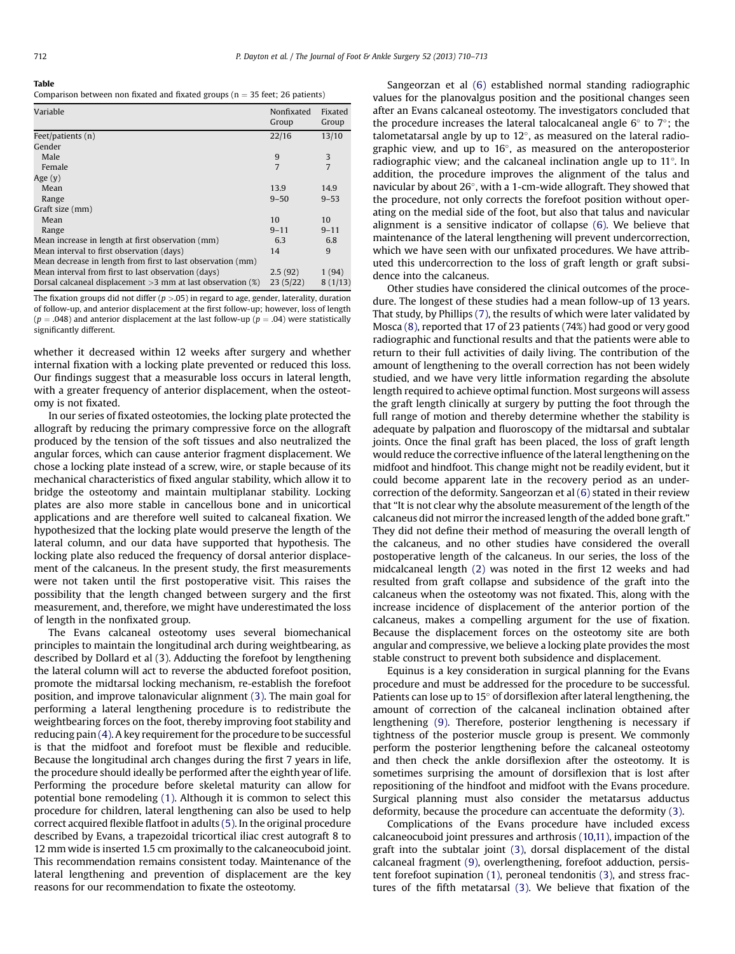#### <span id="page-2-0"></span>Table

|  | Comparison between non fixated and fixated groups ( $n = 35$ feet; 26 patients) |  |
|--|---------------------------------------------------------------------------------|--|
|--|---------------------------------------------------------------------------------|--|

| Variable                                                         | Nonfixated<br>Group | Fixated<br>Group |
|------------------------------------------------------------------|---------------------|------------------|
| Feet/patients (n)                                                | 22/16               | 13/10            |
| Gender                                                           |                     |                  |
| Male                                                             | 9                   | 3                |
| Female                                                           | $\overline{7}$      | 7                |
| Age $(y)$                                                        |                     |                  |
| Mean                                                             | 13.9                | 14.9             |
| Range                                                            | $9 - 50$            | $9 - 53$         |
| Graft size (mm)                                                  |                     |                  |
| Mean                                                             | 10 <sup>1</sup>     | 10 <sup>1</sup>  |
| Range                                                            | $9 - 11$            | $9 - 11$         |
| Mean increase in length at first observation (mm)                | 6.3                 | 6.8              |
| Mean interval to first observation (days)                        | 14                  | 9                |
| Mean decrease in length from first to last observation (mm)      |                     |                  |
| Mean interval from first to last observation (days)              | 2.5(92)             | 1(94)            |
| Dorsal calcaneal displacement $>3$ mm at last observation $(\%)$ | 23(5/22)            | 8(1/13)          |

The fixation groups did not differ ( $p > 0.05$ ) in regard to age, gender, laterality, duration of follow-up, and anterior displacement at the first follow-up; however, loss of length ( $p = .048$ ) and anterior displacement at the last follow-up ( $p = .04$ ) were statistically significantly different.

whether it decreased within 12 weeks after surgery and whether internal fixation with a locking plate prevented or reduced this loss. Our findings suggest that a measurable loss occurs in lateral length, with a greater frequency of anterior displacement, when the osteotomy is not fixated.

In our series of fixated osteotomies, the locking plate protected the allograft by reducing the primary compressive force on the allograft produced by the tension of the soft tissues and also neutralized the angular forces, which can cause anterior fragment displacement. We chose a locking plate instead of a screw, wire, or staple because of its mechanical characteristics of fixed angular stability, which allow it to bridge the osteotomy and maintain multiplanar stability. Locking plates are also more stable in cancellous bone and in unicortical applications and are therefore well suited to calcaneal fixation. We hypothesized that the locking plate would preserve the length of the lateral column, and our data have supported that hypothesis. The locking plate also reduced the frequency of dorsal anterior displacement of the calcaneus. In the present study, the first measurements were not taken until the first postoperative visit. This raises the possibility that the length changed between surgery and the first measurement, and, therefore, we might have underestimated the loss of length in the nonfixated group.

The Evans calcaneal osteotomy uses several biomechanical principles to maintain the longitudinal arch during weightbearing, as described by Dollard et al (3). Adducting the forefoot by lengthening the lateral column will act to reverse the abducted forefoot position, promote the midtarsal locking mechanism, re-establish the forefoot position, and improve talonavicular alignment [\(3\).](#page-3-0) The main goal for performing a lateral lengthening procedure is to redistribute the weightbearing forces on the foot, thereby improving foot stability and reducing pain [\(4\)](#page-3-0). A key requirement for the procedure to be successful is that the midfoot and forefoot must be flexible and reducible. Because the longitudinal arch changes during the first 7 years in life, the procedure should ideally be performed after the eighth year of life. Performing the procedure before skeletal maturity can allow for potential bone remodeling [\(1\)](#page-3-0). Although it is common to select this procedure for children, lateral lengthening can also be used to help correct acquired flexible flatfoot in adults [\(5\).](#page-3-0) In the original procedure described by Evans, a trapezoidal tricortical iliac crest autograft 8 to 12 mm wide is inserted 1.5 cm proximally to the calcaneocuboid joint. This recommendation remains consistent today. Maintenance of the lateral lengthening and prevention of displacement are the key reasons for our recommendation to fixate the osteotomy.

Sangeorzan et al [\(6\)](#page-3-0) established normal standing radiographic values for the planovalgus position and the positional changes seen after an Evans calcaneal osteotomy. The investigators concluded that the procedure increases the lateral talocalcaneal angle 6 $^{\circ}$  to 7 $^{\circ}$ ; the talometatarsal angle by up to 12 $^{\circ}$ , as measured on the lateral radiographic view, and up to 16 $^{\circ}$ , as measured on the anteroposterior radiographic view; and the calcaneal inclination angle up to  $11^{\circ}$ . In addition, the procedure improves the alignment of the talus and navicular by about 26°, with a 1-cm-wide allograft. They showed that the procedure, not only corrects the forefoot position without operating on the medial side of the foot, but also that talus and navicular alignment is a sensitive indicator of collapse [\(6\).](#page-3-0) We believe that maintenance of the lateral lengthening will prevent undercorrection, which we have seen with our unfixated procedures. We have attributed this undercorrection to the loss of graft length or graft subsidence into the calcaneus.

Other studies have considered the clinical outcomes of the procedure. The longest of these studies had a mean follow-up of 13 years. That study, by Phillips [\(7\),](#page-3-0) the results of which were later validated by Mosca [\(8\),](#page-3-0) reported that 17 of 23 patients (74%) had good or very good radiographic and functional results and that the patients were able to return to their full activities of daily living. The contribution of the amount of lengthening to the overall correction has not been widely studied, and we have very little information regarding the absolute length required to achieve optimal function. Most surgeons will assess the graft length clinically at surgery by putting the foot through the full range of motion and thereby determine whether the stability is adequate by palpation and fluoroscopy of the midtarsal and subtalar joints. Once the final graft has been placed, the loss of graft length would reduce the corrective influence of the lateral lengthening on the midfoot and hindfoot. This change might not be readily evident, but it could become apparent late in the recovery period as an undercorrection of the deformity. Sangeorzan et al [\(6\)](#page-3-0) stated in their review that "It is not clear why the absolute measurement of the length of the calcaneus did not mirror the increased length of the added bone graft." They did not define their method of measuring the overall length of the calcaneus, and no other studies have considered the overall postoperative length of the calcaneus. In our series, the loss of the midcalcaneal length [\(2\)](#page-3-0) was noted in the first 12 weeks and had resulted from graft collapse and subsidence of the graft into the calcaneus when the osteotomy was not fixated. This, along with the increase incidence of displacement of the anterior portion of the calcaneus, makes a compelling argument for the use of fixation. Because the displacement forces on the osteotomy site are both angular and compressive, we believe a locking plate provides the most stable construct to prevent both subsidence and displacement.

Equinus is a key consideration in surgical planning for the Evans procedure and must be addressed for the procedure to be successful. Patients can lose up to 15 $^{\circ}$  of dorsiflexion after lateral lengthening, the amount of correction of the calcaneal inclination obtained after lengthening [\(9\)](#page-3-0). Therefore, posterior lengthening is necessary if tightness of the posterior muscle group is present. We commonly perform the posterior lengthening before the calcaneal osteotomy and then check the ankle dorsiflexion after the osteotomy. It is sometimes surprising the amount of dorsiflexion that is lost after repositioning of the hindfoot and midfoot with the Evans procedure. Surgical planning must also consider the metatarsus adductus deformity, because the procedure can accentuate the deformity [\(3\)](#page-3-0).

Complications of the Evans procedure have included excess calcaneocuboid joint pressures and arthrosis [\(10,11\)](#page-3-0), impaction of the graft into the subtalar joint [\(3\)](#page-3-0), dorsal displacement of the distal calcaneal fragment [\(9\)](#page-3-0), overlengthening, forefoot adduction, persistent forefoot supination [\(1\)](#page-3-0), peroneal tendonitis [\(3\),](#page-3-0) and stress fractures of the fifth metatarsal [\(3\).](#page-3-0) We believe that fixation of the